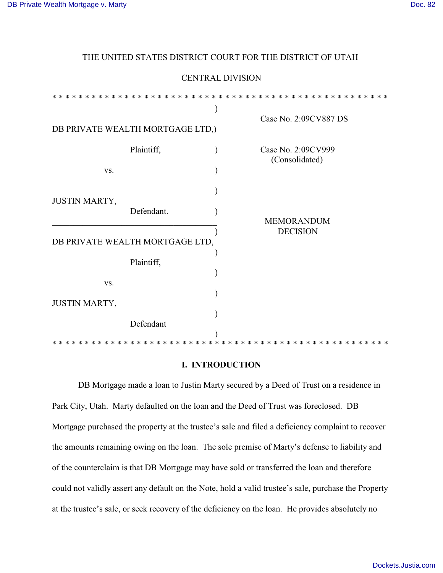| <b>CENTRAL DIVISION</b>                        |            |  |                       |
|------------------------------------------------|------------|--|-----------------------|
|                                                |            |  |                       |
| $\ast$<br>$\ast$<br>$\ast$<br>×<br>$\ast$<br>∗ |            |  |                       |
|                                                |            |  |                       |
| DB PRIVATE WEALTH MORTGAGE LTD,)               |            |  | Case No. 2:09CV887 DS |
|                                                |            |  |                       |
| Plaintiff,                                     |            |  | Case No. 2:09CV999    |
|                                                |            |  | (Consolidated)        |
| VS.                                            |            |  |                       |
|                                                |            |  |                       |
|                                                |            |  |                       |
| JUSTIN MARTY,                                  | Defendant. |  |                       |
|                                                |            |  | <b>MEMORANDUM</b>     |
|                                                |            |  | <b>DECISION</b>       |
| DB PRIVATE WEALTH MORTGAGE LTD,                |            |  |                       |
|                                                |            |  |                       |
| Plaintiff,                                     |            |  |                       |
|                                                |            |  |                       |
| VS.                                            |            |  |                       |
|                                                |            |  |                       |
| JUSTIN MARTY,                                  |            |  |                       |
|                                                | Defendant  |  |                       |
|                                                |            |  |                       |
|                                                |            |  |                       |

THE UNITED STATES DISTRICT COURT FOR THE DISTRICT OF UTAH

## **I. INTRODUCTION**

DB Mortgage made a loan to Justin Marty secured by a Deed of Trust on a residence in Park City, Utah.Marty defaulted on the loan and the Deed of Trust was foreclosed. DB Mortgage purchased the property at the trustee's sale and filed a deficiency complaint to recover the amounts remaining owing on the loan. The sole premise of Marty's defense to liability and of the counterclaim is that DB Mortgage may have sold or transferred the loan and therefore could not validly assert any default on the Note, hold a valid trustee's sale, purchase the Property at the trustee's sale, or seek recovery of the deficiency on the loan. He provides absolutely no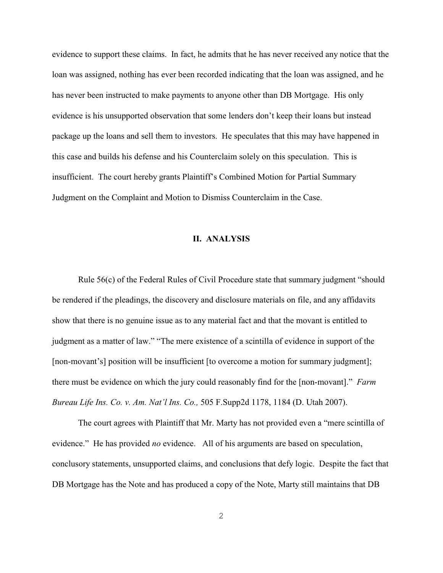evidence to support these claims. In fact, he admits that he has never received any notice that the loan was assigned, nothing has ever been recorded indicating that the loan was assigned, and he has never been instructed to make payments to anyone other than DB Mortgage. His only evidence is his unsupported observation that some lenders don't keep their loans but instead package up the loans and sell them to investors. He speculates that this may have happened in this case and builds his defense and his Counterclaim solely on this speculation. This is insufficient. The court hereby grants Plaintiff's Combined Motion for Partial Summary Judgment on the Complaint and Motion to Dismiss Counterclaim in the Case.

## **II. ANALYSIS**

Rule 56(c) of the Federal Rules of Civil Procedure state that summary judgment "should be rendered if the pleadings, the discovery and disclosure materials on file, and any affidavits show that there is no genuine issue as to any material fact and that the movant is entitled to judgment as a matter of law." "The mere existence of a scintilla of evidence in support of the [non-movant's] position will be insufficient [to overcome a motion for summary judgment]; there must be evidence on which the jury could reasonably find for the [non-movant]." *Farm Bureau Life Ins. Co. v. Am. Nat'l Ins. Co.,* 505 F.Supp2d 1178, 1184 (D. Utah 2007).

The court agrees with Plaintiff that Mr. Marty has not provided even a "mere scintilla of evidence." He has provided *no* evidence. All of his arguments are based on speculation, conclusory statements, unsupported claims, and conclusions that defy logic. Despite the fact that DB Mortgage has the Note and has produced a copy of the Note, Marty still maintains that DB